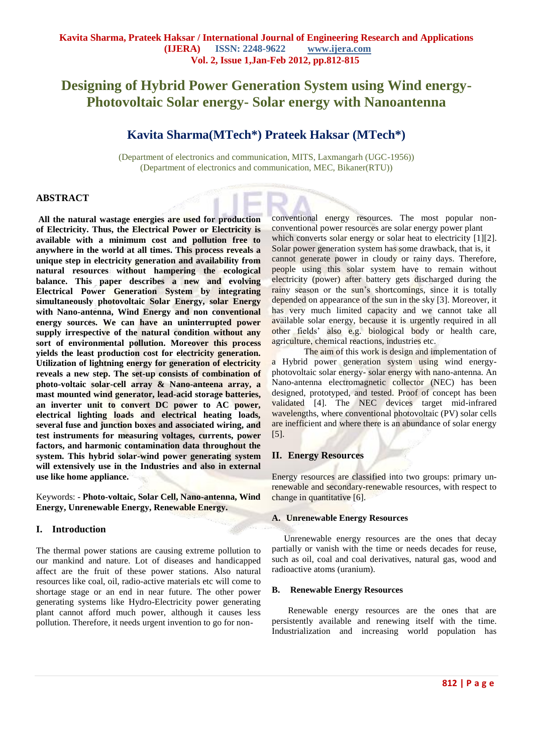# **Designing of Hybrid Power Generation System using Wind energy-Photovoltaic Solar energy- Solar energy with Nanoantenna**

# **Kavita Sharma(MTech\*) Prateek Haksar (MTech\*)**

(Department of electronics and communication, MITS, Laxmangarh (UGC-1956)) (Department of electronics and communication, MEC, Bikaner(RTU))

# **ABSTRACT**

**All the natural wastage energies are used for production of Electricity. Thus, the Electrical Power or Electricity is available with a minimum cost and pollution free to anywhere in the world at all times. This process reveals a unique step in electricity generation and availability from natural resources without hampering the ecological balance. This paper describes a new and evolving Electrical Power Generation System by integrating simultaneously photovoltaic Solar Energy, solar Energy with Nano-antenna, Wind Energy and non conventional energy sources. We can have an uninterrupted power supply irrespective of the natural condition without any sort of environmental pollution. Moreover this process yields the least production cost for electricity generation. Utilization of lightning energy for generation of electricity reveals a new step. The set-up consists of combination of photo-voltaic solar-cell array & Nano-anteena array, a mast mounted wind generator, lead-acid storage batteries, an inverter unit to convert DC power to AC power, electrical lighting loads and electrical heating loads, several fuse and junction boxes and associated wiring, and test instruments for measuring voltages, currents, power factors, and harmonic contamination data throughout the system. This hybrid solar-wind power generating system will extensively use in the Industries and also in external use like home appliance.** 

Keywords: - **Photo-voltaic, Solar Cell, Nano-antenna, Wind Energy, Unrenewable Energy, Renewable Energy.**

# **I. Introduction**

The thermal power stations are causing extreme pollution to our mankind and nature. Lot of diseases and handicapped affect are the fruit of these power stations. Also natural resources like coal, oil, radio-active materials etc will come to shortage stage or an end in near future. The other power generating systems like Hydro-Electricity power generating plant cannot afford much power, although it causes less pollution. Therefore, it needs urgent invention to go for nonconventional energy resources. The most popular nonconventional power resources are solar energy power plant which converts solar energy or solar heat to electricity [1][2]. Solar power generation system has some drawback, that is, it cannot generate power in cloudy or rainy days. Therefore, people using this solar system have to remain without electricity (power) after battery gets discharged during the rainy season or the sun's shortcomings, since it is totally depended on appearance of the sun in the sky [3]. Moreover, it has very much limited capacity and we cannot take all available solar energy, because it is urgently required in all other fields' also e.g. biological body or health care, agriculture, chemical reactions, industries etc.

The aim of this work is design and implementation of a Hybrid power generation system using wind energyphotovoltaic solar energy- solar energy with nano-antenna. An Nano-antenna electromagnetic collector (NEC) has been designed, prototyped, and tested. Proof of concept has been validated [4]. The NEC devices target mid-infrared wavelengths, where conventional photovoltaic (PV) solar cells are inefficient and where there is an abundance of solar energy [5].

#### **II. Energy Resources**

Energy resources are classified into two groups: primary unrenewable and secondary-renewable resources, with respect to change in quantitative [6].

#### **A. Unrenewable Energy Resources**

Unrenewable energy resources are the ones that decay partially or vanish with the time or needs decades for reuse, such as oil, coal and coal derivatives, natural gas, wood and radioactive atoms (uranium).

#### **B. Renewable Energy Resources**

Renewable energy resources are the ones that are persistently available and renewing itself with the time. Industrialization and increasing world population has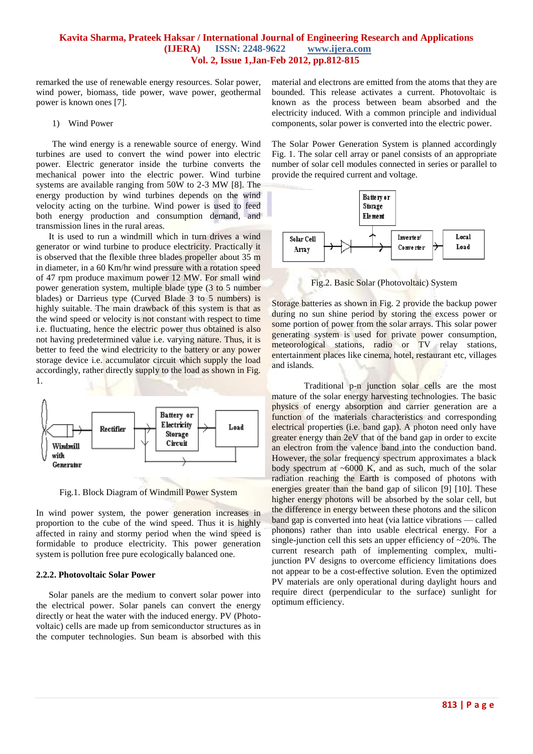#### **Kavita Sharma, Prateek Haksar / International Journal of Engineering Research and Applications (IJERA) ISSN: 2248-9622 www.ijera.com Vol. 2, Issue 1,Jan-Feb 2012, pp.812-815**

remarked the use of renewable energy resources. Solar power, wind power, biomass, tide power, wave power, geothermal power is known ones [7].

#### 1) Wind Power

The wind energy is a renewable source of energy. Wind turbines are used to convert the wind power into electric power. Electric generator inside the turbine converts the mechanical power into the electric power. Wind turbine systems are available ranging from 50W to 2-3 MW [8]. The energy production by wind turbines depends on the wind velocity acting on the turbine. Wind power is used to feed both energy production and consumption demand, and transmission lines in the rural areas.

It is used to run a windmill which in turn drives a wind generator or wind turbine to produce electricity. Practically it is observed that the flexible three blades propeller about 35 m in diameter, in a 60 Km/hr wind pressure with a rotation speed of 47 rpm produce maximum power 12 MW. For small wind power generation system, multiple blade type (3 to 5 number blades) or Darrieus type (Curved Blade 3 to 5 numbers) is highly suitable. The main drawback of this system is that as the wind speed or velocity is not constant with respect to time i.e. fluctuating, hence the electric power thus obtained is also not having predetermined value i.e. varying nature. Thus, it is better to feed the wind electricity to the battery or any power storage device i.e. accumulator circuit which supply the load accordingly, rather directly supply to the load as shown in Fig. 1.



Fig.1. Block Diagram of Windmill Power System

In wind power system, the power generation increases in proportion to the cube of the wind speed. Thus it is highly affected in rainy and stormy period when the wind speed is formidable to produce electricity. This power generation system is pollution free pure ecologically balanced one.

#### **2.2.2. Photovoltaic Solar Power**

Solar panels are the medium to convert solar power into the electrical power. Solar panels can convert the energy directly or heat the water with the induced energy. PV (Photovoltaic) cells are made up from semiconductor structures as in the computer technologies. Sun beam is absorbed with this material and electrons are emitted from the atoms that they are bounded. This release activates a current. Photovoltaic is known as the process between beam absorbed and the electricity induced. With a common principle and individual components, solar power is converted into the electric power.

The Solar Power Generation System is planned accordingly Fig. 1. The solar cell array or panel consists of an appropriate number of solar cell modules connected in series or parallel to provide the required current and voltage.



Fig.2. Basic Solar (Photovoltaic) System

Storage batteries as shown in Fig. 2 provide the backup power during no sun shine period by storing the excess power or some portion of power from the solar arrays. This solar power generating system is used for private power consumption, meteorological stations, radio or TV relay stations, entertainment places like cinema, hotel, restaurant etc, villages and islands.

Traditional p-n junction solar cells are the most mature of the solar energy harvesting technologies. The basic physics of energy absorption and carrier generation are a function of the materials characteristics and corresponding electrical properties (i.e. band gap). A photon need only have greater energy than 2eV that of the band gap in order to excite an electron from the valence band into the conduction band. However, the solar frequency spectrum approximates a black body spectrum at  $\sim 6000$  K, and as such, much of the solar radiation reaching the Earth is composed of photons with energies greater than the band gap of silicon [9] [10]. These higher energy photons will be absorbed by the solar cell, but the difference in energy between these photons and the silicon band gap is converted into heat (via lattice vibrations — called phonons) rather than into usable electrical energy. For a single-junction cell this sets an upper efficiency of  $\sim$ 20%. The current research path of implementing complex, multijunction PV designs to overcome efficiency limitations does not appear to be a cost-effective solution. Even the optimized PV materials are only operational during daylight hours and require direct (perpendicular to the surface) sunlight for optimum efficiency.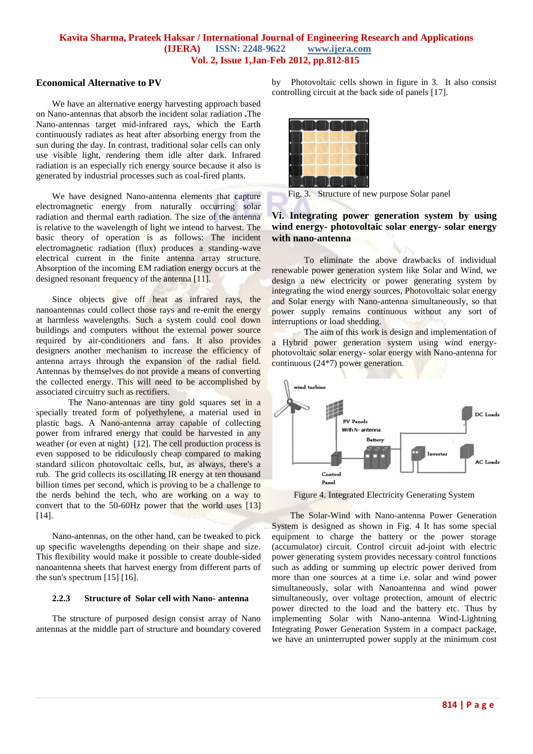#### **Kavita Sharma, Prateek Haksar / International Journal of Engineering Research and Applications (IJERA) ISSN: 2248-9622 www.ijera.com Vol. 2, Issue 1,Jan-Feb 2012, pp.812-815**

# **Economical Alternative to PV**

We have an alternative energy harvesting approach based on Nano-antennas that absorb the incident solar radiation **.**The Nano-antennas target mid-infrared rays, which the Earth continuously radiates as heat after absorbing energy from the sun during the day. In contrast, traditional solar cells can only use visible light, rendering them idle after dark. Infrared radiation is an especially rich energy source because it also is generated by industrial processes such as coal-fired plants.

We have designed Nano-antenna elements that capture electromagnetic energy from naturally occurring solar radiation and thermal earth radiation. The size of the antenna is relative to the wavelength of light we intend to harvest. The basic theory of operation is as follows: The incident electromagnetic radiation (flux) produces a standing-wave electrical current in the finite antenna array structure. Absorption of the incoming EM radiation energy occurs at the designed resonant frequency of the antenna [11].

Since objects give off heat as infrared rays, the nanoantennas could collect those rays and re-emit the energy at harmless wavelengths. Such a system could cool down buildings and computers without the external power source required by air-conditioners and fans. It also provides designers another mechanism to increase the efficiency of antenna arrays through the expansion of the radial field. Antennas by themselves do not provide a means of converting the collected energy. This will need to be accomplished by associated circuitry such as rectifiers.

The Nano-antennas are tiny gold squares set in a specially treated form of polyethylene, a material used in plastic bags. A Nano-antenna array capable of collecting power from infrared energy that could be harvested in any weather (or even at night) [12]. The cell production process is even supposed to be ridiculously cheap compared to making standard silicon photovoltaic cells, but, as always, there's a rub. The grid collects its oscillating IR energy at ten thousand billion times per second, which is proving to be a challenge to the nerds behind the tech, who are working on a way to convert that to the 50-60Hz power that the world uses [13] [14].

Nano-antennas, on the other hand, can be tweaked to pick up specific wavelengths depending on their shape and size. This flexibility would make it possible to create double-sided nanoantenna sheets that harvest energy from different parts of the sun's spectrum [15] [16].

#### **2.2.3 Structure of Solar cell with Nano- antenna**

The structure of purposed design consist array of Nano antennas at the middle part of structure and boundary covered

by Photovoltaic cells shown in figure in 3. It also consist controlling circuit at the back side of panels [17].



Fig. 3. Structure of new purpose Solar panel

# **Vi. Integrating power generation system by using wind energy- photovoltaic solar energy- solar energy with nano-antenna**

To eliminate the above drawbacks of individual renewable power generation system like Solar and Wind, we design a new electricity or power generating system by integrating the wind energy sources, Photovoltaic solar energy and Solar energy with Nano-antenna simultaneously, so that power supply remains continuous without any sort of interruptions or load shedding.

The aim of this work is design and implementation of a Hybrid power generation system using wind energyphotovoltaic solar energy- solar energy with Nano-antenna for continuous (24\*7) power generation.



Figure 4. Integrated Electricity Generating System

The Solar-Wind with Nano-antenna Power Generation System is designed as shown in Fig. 4 It has some special equipment to charge the battery or the power storage (accumulator) circuit. Control circuit ad-joint with electric power generating system provides necessary control functions such as adding or summing up electric power derived from more than one sources at a time i.e. solar and wind power simultaneously, solar with Nanoantenna and wind power simultaneously, over voltage protection, amount of electric power directed to the load and the battery etc. Thus by implementing Solar with Nano-antenna Wind-Lightning Integrating Power Generation System in a compact package, we have an uninterrupted power supply at the minimum cost